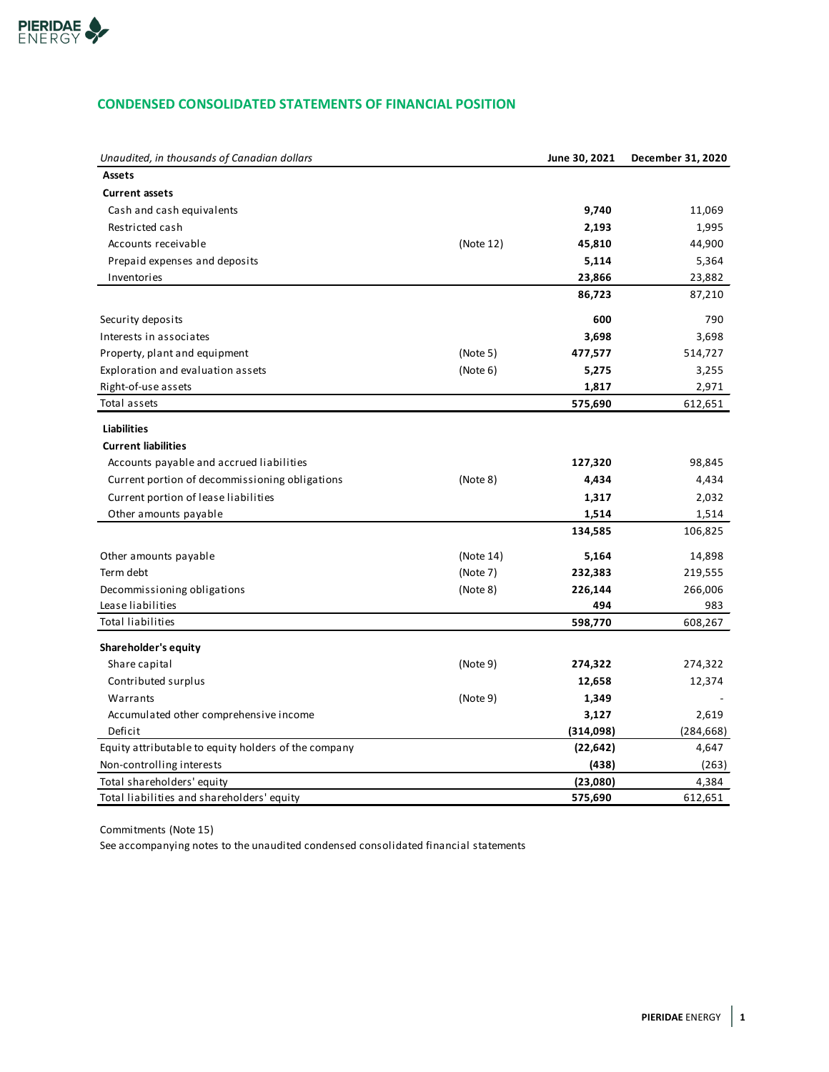

## **CONDENSED CONSOLIDATED STATEMENTS OF FINANCIAL POSITION**

| Unaudited, in thousands of Canadian dollars          |           | June 30, 2021 | December 31, 2020 |
|------------------------------------------------------|-----------|---------------|-------------------|
| <b>Assets</b>                                        |           |               |                   |
| <b>Current assets</b>                                |           |               |                   |
| Cash and cash equivalents                            |           | 9,740         | 11,069            |
| Restricted cash                                      |           | 2,193         | 1,995             |
| Accounts receivable                                  | (Note 12) | 45,810        | 44,900            |
| Prepaid expenses and deposits                        |           | 5,114         | 5,364             |
| Inventories                                          |           | 23,866        | 23,882            |
|                                                      |           | 86,723        | 87,210            |
| Security deposits                                    |           | 600           | 790               |
| Interests in associates                              |           | 3,698         | 3,698             |
| Property, plant and equipment                        | (Note 5)  | 477,577       | 514,727           |
| Exploration and evaluation assets                    | (Note 6)  | 5,275         | 3,255             |
| Right-of-use assets                                  |           | 1,817         | 2,971             |
| Total assets                                         |           | 575,690       | 612,651           |
| <b>Liabilities</b>                                   |           |               |                   |
| <b>Current liabilities</b>                           |           |               |                   |
| Accounts payable and accrued liabilities             |           | 127,320       | 98,845            |
| Current portion of decommissioning obligations       | (Note 8)  | 4,434         | 4,434             |
| Current portion of lease liabilities                 |           | 1,317         | 2,032             |
| Other amounts payable                                |           | 1,514         | 1,514             |
|                                                      |           | 134,585       | 106,825           |
| Other amounts payable                                | (Note 14) | 5,164         | 14,898            |
| Term debt                                            | (Note 7)  | 232,383       | 219,555           |
| Decommissioning obligations                          | (Note 8)  | 226,144       | 266,006           |
| Lease liabilities                                    |           | 494           | 983               |
| <b>Total liabilities</b>                             |           | 598,770       | 608,267           |
| Shareholder's equity                                 |           |               |                   |
| Share capital                                        | (Note 9)  | 274,322       | 274,322           |
| Contributed surplus                                  |           | 12,658        | 12,374            |
| Warrants                                             | (Note 9)  | 1,349         |                   |
| Accumulated other comprehensive income               |           | 3,127         | 2,619             |
| Deficit                                              |           | (314,098)     | (284, 668)        |
| Equity attributable to equity holders of the company |           | (22, 642)     | 4,647             |
| Non-controlling interests                            |           | (438)         | (263)             |
| Total shareholders' equity                           |           | (23,080)      | 4,384             |
| Total liabilities and shareholders' equity           |           | 575,690       | 612,651           |

Commitments (Note 15)

See accompanying notes to the unaudited condensed consolidated financial statements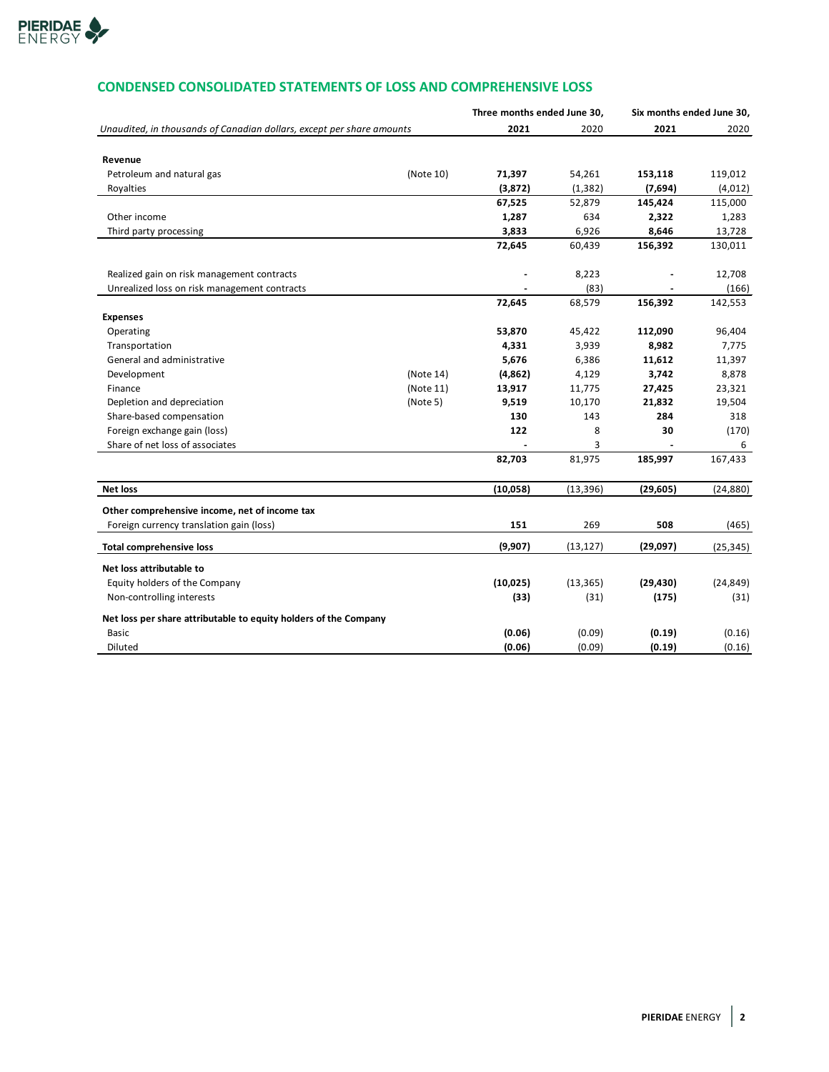

# **CONDENSED CONSOLIDATED STATEMENTS OF LOSS AND COMPREHENSIVE LOSS**

|                                                                       |           | Three months ended June 30, |           | Six months ended June 30, |           |
|-----------------------------------------------------------------------|-----------|-----------------------------|-----------|---------------------------|-----------|
| Unaudited, in thousands of Canadian dollars, except per share amounts |           | 2021                        | 2020      | 2021                      | 2020      |
|                                                                       |           |                             |           |                           |           |
| Revenue                                                               |           |                             |           |                           |           |
| Petroleum and natural gas                                             | (Note 10) | 71,397                      | 54,261    | 153,118                   | 119,012   |
| Royalties                                                             |           | (3,872)                     | (1, 382)  | (7,694)                   | (4,012)   |
|                                                                       |           | 67,525                      | 52,879    | 145,424                   | 115,000   |
| Other income                                                          |           | 1,287                       | 634       | 2,322                     | 1,283     |
| Third party processing                                                |           | 3,833                       | 6,926     | 8,646                     | 13,728    |
|                                                                       |           | 72,645                      | 60,439    | 156,392                   | 130,011   |
| Realized gain on risk management contracts                            |           |                             | 8,223     |                           | 12,708    |
| Unrealized loss on risk management contracts                          |           |                             | (83)      |                           | (166)     |
|                                                                       |           | 72,645                      | 68,579    | 156,392                   | 142,553   |
| <b>Expenses</b>                                                       |           |                             |           |                           |           |
| Operating                                                             |           | 53,870                      | 45,422    | 112,090                   | 96,404    |
| Transportation                                                        |           | 4,331                       | 3,939     | 8,982                     | 7,775     |
| General and administrative                                            |           | 5,676                       | 6,386     | 11,612                    | 11,397    |
| Development                                                           | (Note 14) | (4,862)                     | 4,129     | 3,742                     | 8,878     |
| Finance                                                               | (Note 11) | 13,917                      | 11,775    | 27,425                    | 23,321    |
| Depletion and depreciation                                            | (Note 5)  | 9,519                       | 10,170    | 21,832                    | 19,504    |
| Share-based compensation                                              |           | 130                         | 143       | 284                       | 318       |
| Foreign exchange gain (loss)                                          |           | 122                         | 8         | 30                        | (170)     |
| Share of net loss of associates                                       |           |                             | 3         |                           | 6         |
|                                                                       |           | 82,703                      | 81,975    | 185,997                   | 167,433   |
| <b>Net loss</b>                                                       |           | (10,058)                    | (13, 396) | (29, 605)                 | (24, 880) |
| Other comprehensive income, net of income tax                         |           |                             |           |                           |           |
| Foreign currency translation gain (loss)                              |           | 151                         | 269       | 508                       | (465)     |
| <b>Total comprehensive loss</b>                                       |           | (9,907)                     | (13, 127) | (29,097)                  | (25, 345) |
| Net loss attributable to                                              |           |                             |           |                           |           |
| Equity holders of the Company                                         |           | (10, 025)                   | (13, 365) | (29, 430)                 | (24, 849) |
| Non-controlling interests                                             |           | (33)                        | (31)      | (175)                     | (31)      |
| Net loss per share attributable to equity holders of the Company      |           |                             |           |                           |           |
| Basic                                                                 |           | (0.06)                      | (0.09)    | (0.19)                    | (0.16)    |
| Diluted                                                               |           | (0.06)                      | (0.09)    | (0.19)                    | (0.16)    |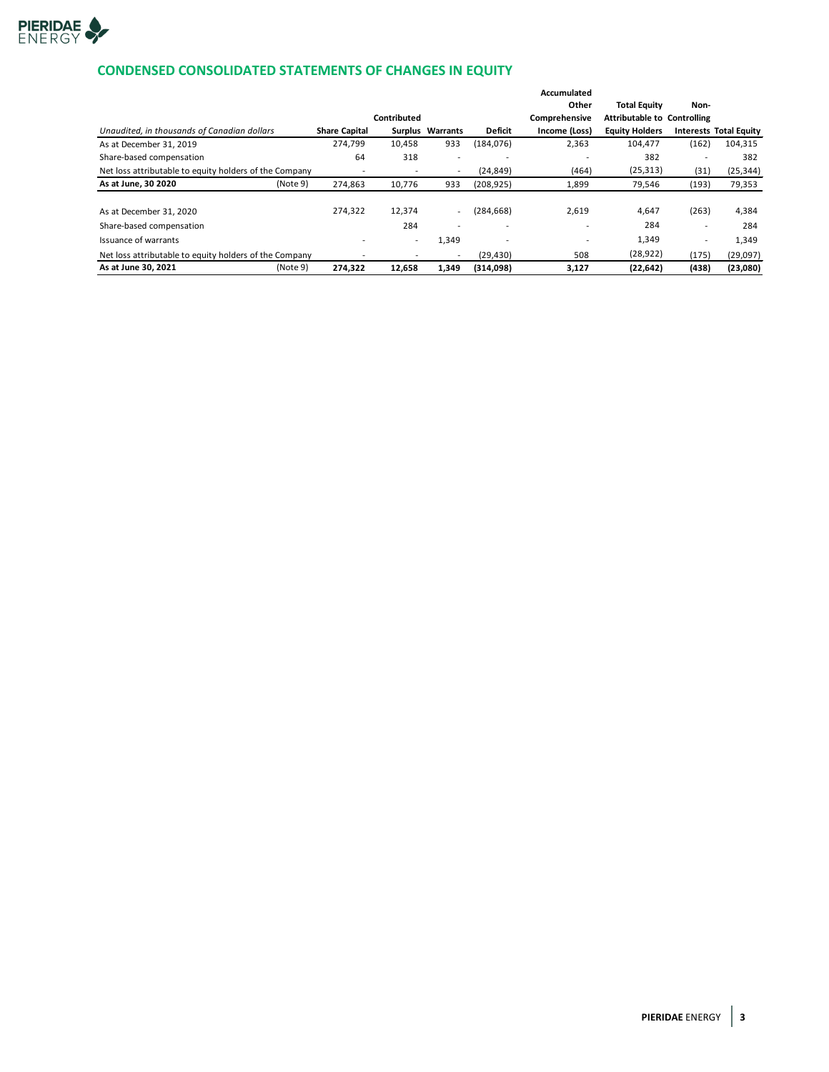

## **CONDENSED CONSOLIDATED STATEMENTS OF CHANGES IN EQUITY**

|                                                        |                      |                          |                          |                          | Accumulated   |                                    |                          |                               |
|--------------------------------------------------------|----------------------|--------------------------|--------------------------|--------------------------|---------------|------------------------------------|--------------------------|-------------------------------|
|                                                        |                      |                          |                          |                          | Other         | <b>Total Equity</b>                | Non-                     |                               |
|                                                        |                      | Contributed              |                          |                          | Comprehensive | <b>Attributable to Controlling</b> |                          |                               |
| Unaudited, in thousands of Canadian dollars            | <b>Share Capital</b> |                          | Surplus Warrants         | <b>Deficit</b>           | Income (Loss) | <b>Equity Holders</b>              |                          | <b>Interests Total Equity</b> |
| As at December 31, 2019                                | 274,799              | 10,458                   | 933                      | (184, 076)               | 2,363         | 104,477                            | (162)                    | 104,315                       |
| Share-based compensation                               | 64                   | 318                      | $\overline{\phantom{a}}$ |                          |               | 382                                | ۰                        | 382                           |
| Net loss attributable to equity holders of the Company |                      | $\overline{\phantom{a}}$ | $\overline{\phantom{a}}$ | (24, 849)                | (464)         | (25, 313)                          | (31)                     | (25, 344)                     |
| As at June, 30 2020<br>(Note 9)                        | 274,863              | 10,776                   | 933                      | (208, 925)               | 1,899         | 79,546                             | (193)                    | 79,353                        |
|                                                        |                      |                          |                          |                          |               |                                    |                          |                               |
| As at December 31, 2020                                | 274.322              | 12,374                   | $\sim$                   | (284, 668)               | 2.619         | 4,647                              | (263)                    | 4,384                         |
| Share-based compensation                               |                      | 284                      | $\overline{\phantom{0}}$ |                          |               | 284                                | $\overline{\phantom{a}}$ | 284                           |
| Issuance of warrants                                   |                      | $\overline{\phantom{a}}$ | 1,349                    | $\overline{\phantom{0}}$ |               | 1,349                              | $\overline{\phantom{a}}$ | 1,349                         |
| Net loss attributable to equity holders of the Company |                      |                          | $\overline{\phantom{a}}$ | (29, 430)                | 508           | (28, 922)                          | (175)                    | (29,097)                      |
| As at June 30, 2021<br>(Note 9)                        | 274,322              | 12,658                   | 1,349                    | (314,098)                | 3,127         | (22, 642)                          | (438)                    | (23,080)                      |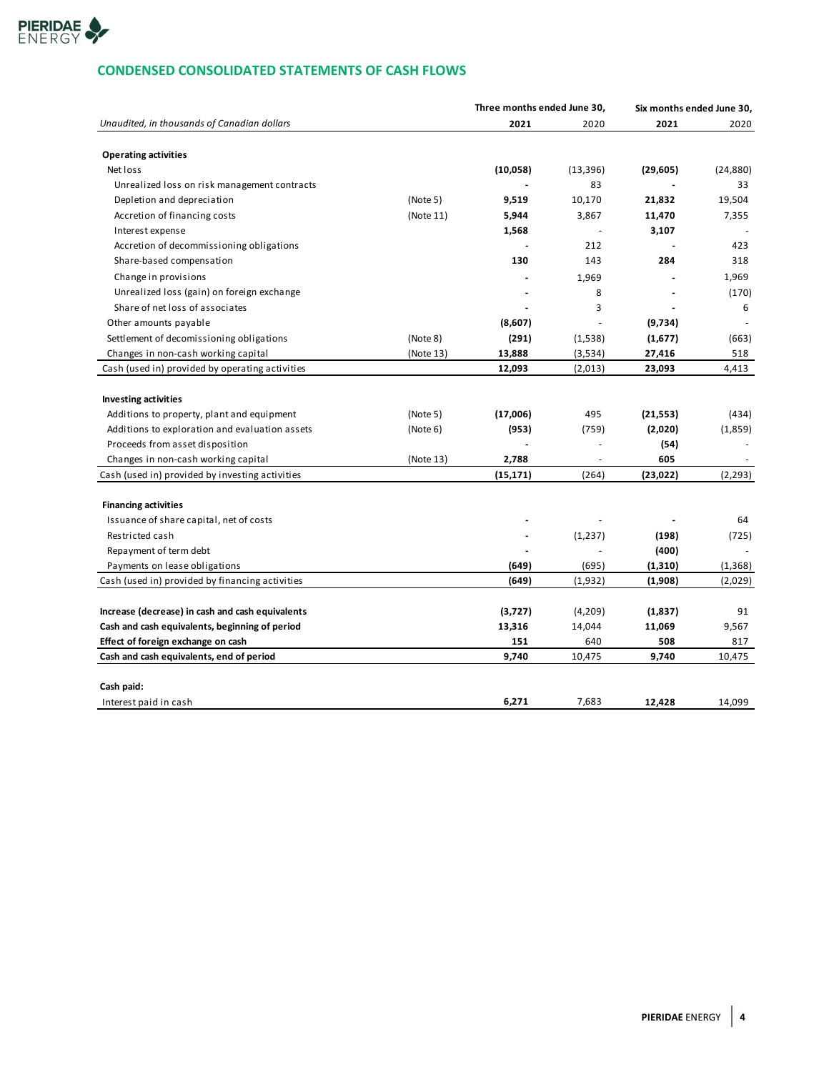

## **CONDENSED CONSOLIDATED STATEMENTS OF CASH FLOWS**

|                                                  |           | Three months ended June 30, |           | Six months ended June 30, |           |
|--------------------------------------------------|-----------|-----------------------------|-----------|---------------------------|-----------|
| Unaudited, in thousands of Canadian dollars      |           | 2021                        | 2020      | 2021                      | 2020      |
|                                                  |           |                             |           |                           |           |
| <b>Operating activities</b>                      |           |                             |           |                           |           |
| Net loss                                         |           | (10,058)                    | (13, 396) | (29, 605)                 | (24, 880) |
| Unrealized loss on risk management contracts     |           |                             | 83        |                           | 33        |
| Depletion and depreciation                       | (Note 5)  | 9,519                       | 10,170    | 21,832                    | 19,504    |
| Accretion of financing costs                     | (Note 11) | 5,944                       | 3,867     | 11,470                    | 7,355     |
| Interest expense                                 |           | 1,568                       |           | 3,107                     |           |
| Accretion of decommissioning obligations         |           |                             | 212       |                           | 423       |
| Share-based compensation                         |           | 130                         | 143       | 284                       | 318       |
| Change in provisions                             |           |                             | 1,969     |                           | 1,969     |
| Unrealized loss (gain) on foreign exchange       |           |                             | 8         |                           | (170)     |
| Share of net loss of associates                  |           |                             | 3         |                           | 6         |
| Other amounts payable                            |           | (8,607)                     | $\sim$    | (9,734)                   |           |
| Settlement of decomissioning obligations         | (Note 8)  | (291)                       | (1,538)   | (1,677)                   | (663)     |
| Changes in non-cash working capital              | (Note 13) | 13,888                      | (3,534)   | 27,416                    | 518       |
| Cash (used in) provided by operating activities  |           | 12,093                      | (2,013)   | 23,093                    | 4,413     |
|                                                  |           |                             |           |                           |           |
| <b>Investing activities</b>                      |           |                             |           |                           |           |
| Additions to property, plant and equipment       | (Note 5)  | (17,006)                    | 495       | (21, 553)                 | (434)     |
| Additions to exploration and evaluation assets   | (Note 6)  | (953)                       | (759)     | (2,020)                   | (1,859)   |
| Proceeds from asset disposition                  |           |                             | ä,        | (54)                      |           |
| Changes in non-cash working capital              | (Note 13) | 2,788                       | ä,        | 605                       |           |
| Cash (used in) provided by investing activities  |           | (15, 171)                   | (264)     | (23, 022)                 | (2, 293)  |
|                                                  |           |                             |           |                           |           |
| <b>Financing activities</b>                      |           |                             |           |                           |           |
| Issuance of share capital, net of costs          |           |                             |           |                           | 64        |
| Restricted cash                                  |           |                             | (1,237)   | (198)                     | (725)     |
| Repayment of term debt                           |           |                             |           | (400)                     |           |
| Payments on lease obligations                    |           | (649)                       | (695)     | (1,310)                   | (1, 368)  |
| Cash (used in) provided by financing activities  |           | (649)                       | (1,932)   | (1,908)                   | (2,029)   |
|                                                  |           |                             |           |                           |           |
| Increase (decrease) in cash and cash equivalents |           | (3,727)                     | (4,209)   | (1,837)                   | 91        |
| Cash and cash equivalents, beginning of period   |           | 13,316                      | 14,044    | 11,069                    | 9,567     |
| Effect of foreign exchange on cash               |           | 151                         | 640       | 508                       | 817       |
| Cash and cash equivalents, end of period         |           | 9,740                       | 10,475    | 9,740                     | 10,475    |
|                                                  |           |                             |           |                           |           |
| Cash paid:                                       |           |                             |           |                           |           |
| Interest paid in cash                            |           | 6,271                       | 7,683     | 12,428                    | 14,099    |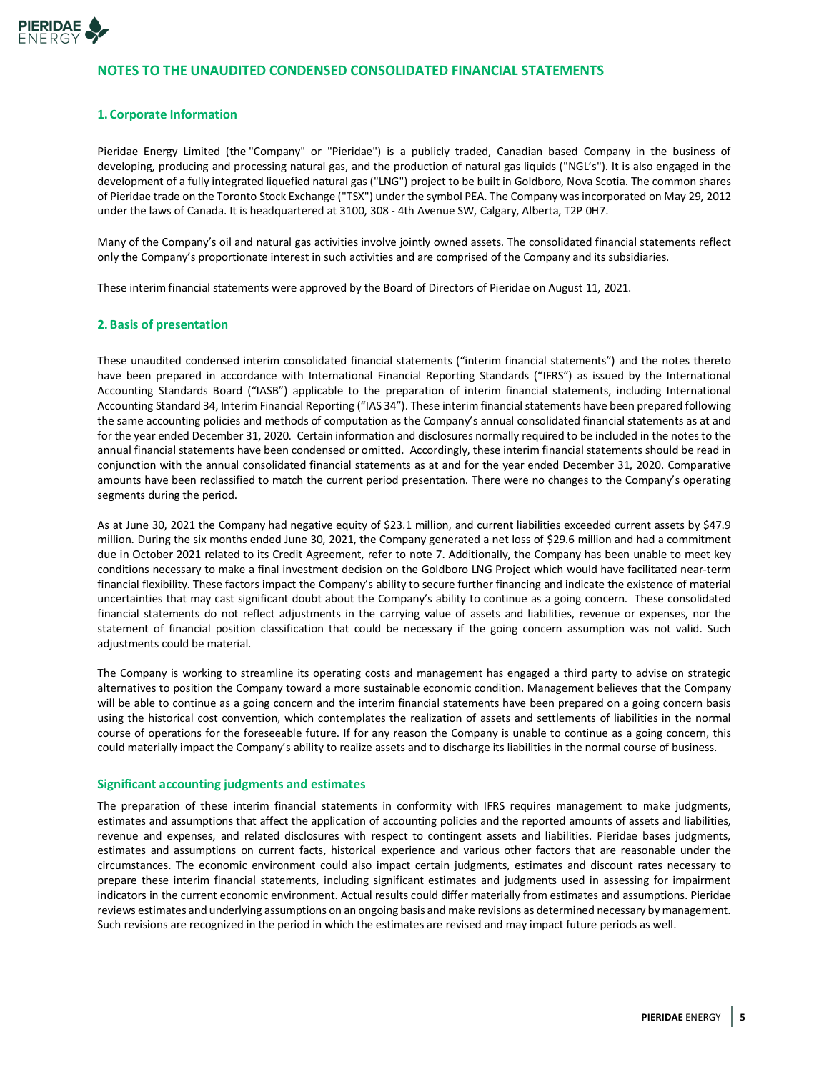

## **NOTES TO THE UNAUDITED CONDENSED CONSOLIDATED FINANCIAL STATEMENTS**

### **1. Corporate Information**

Pieridae Energy Limited (the "Company" or "Pieridae") is a publicly traded, Canadian based Company in the business of developing, producing and processing natural gas, and the production of natural gas liquids ("NGL's"). It is also engaged in the development of a fully integrated liquefied natural gas ("LNG") project to be built in Goldboro, Nova Scotia. The common shares of Pieridae trade on the Toronto Stock Exchange ("TSX") under the symbol PEA. The Company was incorporated on May 29, 2012 under the laws of Canada. It is headquartered at 3100, 308 - 4th Avenue SW, Calgary, Alberta, T2P 0H7.

Many of the Company's oil and natural gas activities involve jointly owned assets. The consolidated financial statements reflect only the Company's proportionate interest in such activities and are comprised of the Company and its subsidiaries.

These interim financial statements were approved by the Board of Directors of Pieridae on August 11, 2021.

#### **2.Basis of presentation**

These unaudited condensed interim consolidated financial statements ("interim financial statements") and the notes thereto have been prepared in accordance with International Financial Reporting Standards ("IFRS") as issued by the International Accounting Standards Board ("IASB") applicable to the preparation of interim financial statements, including International Accounting Standard 34, Interim Financial Reporting ("IAS 34"). These interim financial statements have been prepared following the same accounting policies and methods of computation as the Company's annual consolidated financial statements as at and for the year ended December 31, 2020. Certain information and disclosures normally required to be included in the notes to the annual financial statements have been condensed or omitted. Accordingly, these interim financial statements should be read in conjunction with the annual consolidated financial statements as at and for the year ended December 31, 2020. Comparative amounts have been reclassified to match the current period presentation. There were no changes to the Company's operating segments during the period.

As at June 30, 2021 the Company had negative equity of \$23.1 million, and current liabilities exceeded current assets by \$47.9 million. During the six months ended June 30, 2021, the Company generated a net loss of \$29.6 million and had a commitment due in October 2021 related to its Credit Agreement, refer to note 7. Additionally, the Company has been unable to meet key conditions necessary to make a final investment decision on the Goldboro LNG Project which would have facilitated near-term financial flexibility. These factors impact the Company's ability to secure further financing and indicate the existence of material uncertainties that may cast significant doubt about the Company's ability to continue as a going concern. These consolidated financial statements do not reflect adjustments in the carrying value of assets and liabilities, revenue or expenses, nor the statement of financial position classification that could be necessary if the going concern assumption was not valid. Such adjustments could be material.

The Company is working to streamline its operating costs and management has engaged a third party to advise on strategic alternatives to position the Company toward a more sustainable economic condition. Management believes that the Company will be able to continue as a going concern and the interim financial statements have been prepared on a going concern basis using the historical cost convention, which contemplates the realization of assets and settlements of liabilities in the normal course of operations for the foreseeable future. If for any reason the Company is unable to continue as a going concern, this could materially impact the Company's ability to realize assets and to discharge its liabilities in the normal course of business.

#### **Significant accounting judgments and estimates**

The preparation of these interim financial statements in conformity with IFRS requires management to make judgments, estimates and assumptions that affect the application of accounting policies and the reported amounts of assets and liabilities, revenue and expenses, and related disclosures with respect to contingent assets and liabilities. Pieridae bases judgments, estimates and assumptions on current facts, historical experience and various other factors that are reasonable under the circumstances. The economic environment could also impact certain judgments, estimates and discount rates necessary to prepare these interim financial statements, including significant estimates and judgments used in assessing for impairment indicators in the current economic environment. Actual results could differ materially from estimates and assumptions. Pieridae reviews estimates and underlying assumptions on an ongoing basis and make revisions as determined necessary by management. Such revisions are recognized in the period in which the estimates are revised and may impact future periods as well.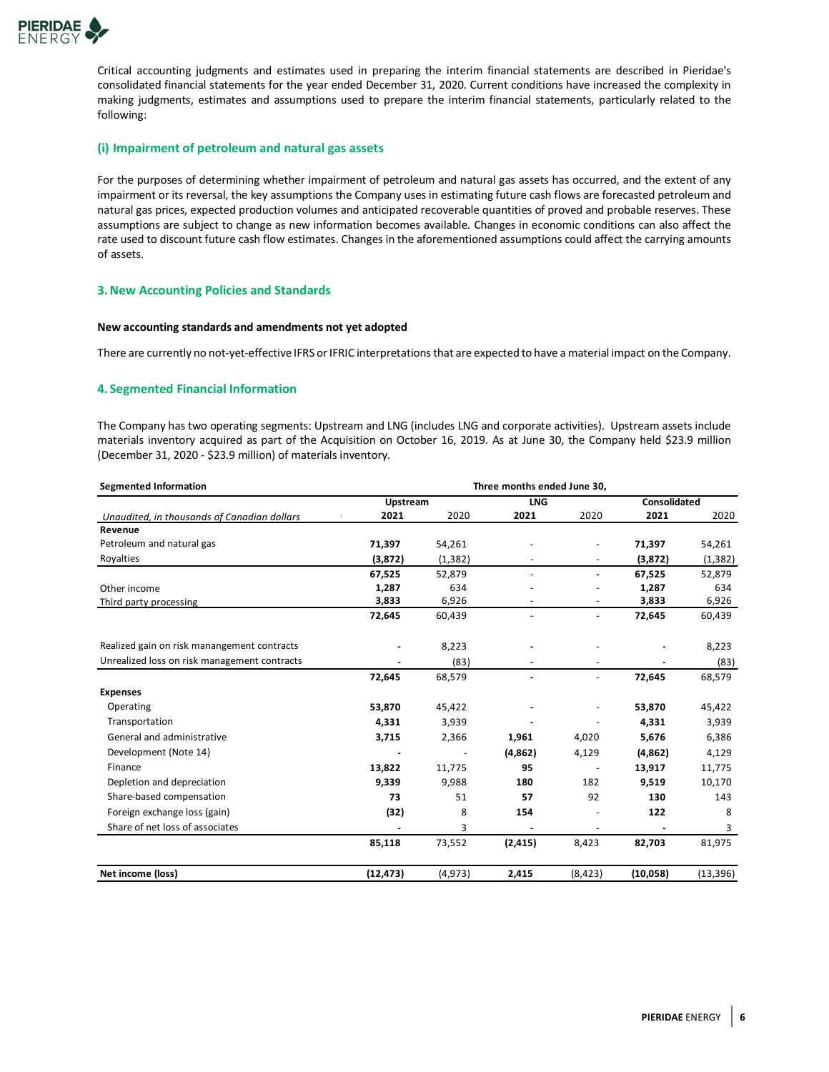

Critical accounting judgments and estimates used in preparing the interim financial statements are described in Pieridae's consolidated financial statements for the year ended December 31, 2020. Current conditions have increased the complexity in making judgments, estimates and assumptions used to prepare the interim financial statements, particularly related to the following:

### **(i) Impairment of petroleum and natural gas assets**

For the purposes of determining whether impairment of petroleum and natural gas assets has occurred, and the extent of any impairment or its reversal, the key assumptions the Company uses in estimating future cash flows are forecasted petroleum and natural gas prices, expected production volumes and anticipated recoverable quantities of proved and probable reserves. These assumptions are subject to change as new information becomes available. Changes in economic conditions can also affect the rate used to discount future cash flow estimates. Changes in the aforementioned assumptions could affect the carrying amounts of assets.

#### **3.New Accounting Policies and Standards**

#### **New accounting standards and amendments not yet adopted**

There are currently no not-yet-effective IFRS or IFRIC interpretations that are expected to have a material impact on the Company.

## **4. Segmented Financial Information**

The Company has two operating segments: Upstream and LNG (includes LNG and corporate activities). Upstream assets include materials inventory acquired as part of the Acquisition on October 16, 2019. As at June 30, the Company held \$23.9 million (December 31, 2020 - \$23.9 million) of materials inventory.

| <b>Segmented Information</b>                 |           |          | Three months ended June 30, |                          |              |           |
|----------------------------------------------|-----------|----------|-----------------------------|--------------------------|--------------|-----------|
|                                              | Upstream  |          | <b>LNG</b>                  |                          | Consolidated |           |
| Unaudited, in thousands of Canadian dollars  | 2021      | 2020     | 2021                        | 2020                     | 2021         | 2020      |
| Revenue                                      |           |          |                             |                          |              |           |
| Petroleum and natural gas                    | 71,397    | 54,261   |                             |                          | 71,397       | 54,261    |
| Royalties                                    | (3,872)   | (1, 382) |                             | $\blacksquare$           | (3,872)      | (1, 382)  |
|                                              | 67,525    | 52,879   |                             | $\blacksquare$           | 67,525       | 52,879    |
| Other income                                 | 1,287     | 634      |                             |                          | 1,287        | 634       |
| Third party processing                       | 3,833     | 6,926    | $\overline{\phantom{a}}$    | $\overline{\phantom{a}}$ | 3,833        | 6,926     |
|                                              | 72,645    | 60,439   |                             | $\ddot{\phantom{1}}$     | 72,645       | 60,439    |
| Realized gain on risk manangement contracts  |           | 8,223    |                             |                          |              | 8,223     |
| Unrealized loss on risk management contracts |           | (83)     |                             |                          |              | (83)      |
|                                              | 72,645    | 68,579   |                             | $\overline{\phantom{a}}$ | 72,645       | 68,579    |
| <b>Expenses</b>                              |           |          |                             |                          |              |           |
| Operating                                    | 53,870    | 45,422   |                             |                          | 53,870       | 45,422    |
| Transportation                               | 4,331     | 3,939    |                             |                          | 4,331        | 3,939     |
| General and administrative                   | 3,715     | 2,366    | 1,961                       | 4,020                    | 5,676        | 6,386     |
| Development (Note 14)                        |           |          | (4,862)                     | 4,129                    | (4,862)      | 4,129     |
| Finance                                      | 13,822    | 11,775   | 95                          |                          | 13,917       | 11,775    |
| Depletion and depreciation                   | 9,339     | 9,988    | 180                         | 182                      | 9,519        | 10,170    |
| Share-based compensation                     | 73        | 51       | 57                          | 92                       | 130          | 143       |
| Foreign exchange loss (gain)                 | (32)      | 8        | 154                         |                          | 122          | 8         |
| Share of net loss of associates              |           | 3        |                             | $\overline{\phantom{a}}$ |              | 3         |
|                                              | 85,118    | 73,552   | (2, 415)                    | 8,423                    | 82,703       | 81,975    |
| Net income (loss)                            | (12, 473) | (4, 973) | 2,415                       | (8, 423)                 | (10,058)     | (13, 396) |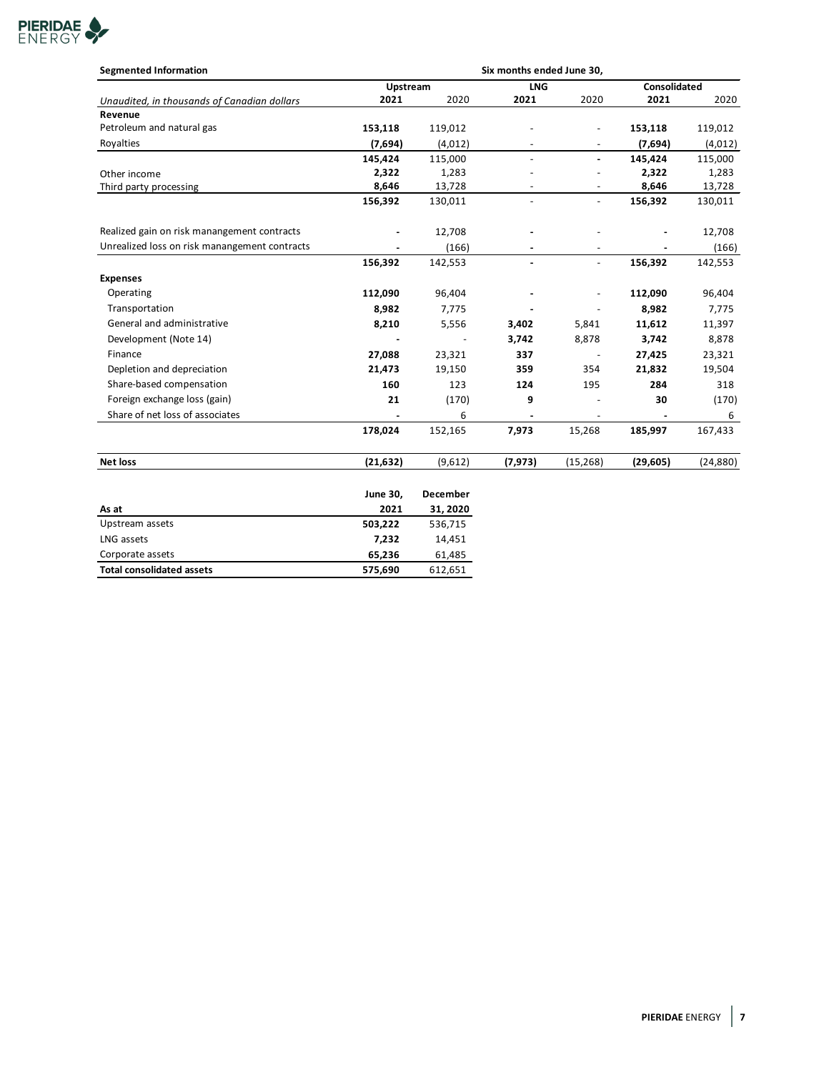

| <b>Segmented Information</b>                  |           |          | Six months ended June 30, |                          |                     |           |
|-----------------------------------------------|-----------|----------|---------------------------|--------------------------|---------------------|-----------|
|                                               |           | Upstream |                           |                          | <b>Consolidated</b> |           |
| Unaudited, in thousands of Canadian dollars   | 2021      | 2020     | 2021                      | 2020                     | 2021                | 2020      |
| Revenue                                       |           |          |                           |                          |                     |           |
| Petroleum and natural gas                     | 153,118   | 119,012  |                           |                          | 153,118             | 119,012   |
| Royalties                                     | (7,694)   | (4,012)  |                           |                          | (7,694)             | (4,012)   |
|                                               | 145,424   | 115,000  | $\overline{a}$            |                          | 145,424             | 115,000   |
| Other income                                  | 2,322     | 1,283    |                           |                          | 2,322               | 1,283     |
| Third party processing                        | 8,646     | 13,728   | $\overline{\phantom{a}}$  | $\overline{\phantom{a}}$ | 8,646               | 13,728    |
|                                               | 156,392   | 130,011  | $\overline{\phantom{a}}$  | $\overline{\phantom{a}}$ | 156,392             | 130,011   |
| Realized gain on risk manangement contracts   |           | 12,708   |                           |                          |                     | 12,708    |
| Unrealized loss on risk manangement contracts |           | (166)    | $\blacksquare$            | $\overline{\phantom{a}}$ |                     | (166)     |
|                                               | 156,392   | 142,553  |                           | $\blacksquare$           | 156,392             | 142,553   |
| <b>Expenses</b>                               |           |          |                           |                          |                     |           |
| Operating                                     | 112,090   | 96,404   |                           |                          | 112,090             | 96,404    |
| Transportation                                | 8,982     | 7,775    |                           | $\overline{\phantom{a}}$ | 8,982               | 7,775     |
| General and administrative                    | 8,210     | 5,556    | 3,402                     | 5,841                    | 11,612              | 11,397    |
| Development (Note 14)                         |           |          | 3,742                     | 8,878                    | 3,742               | 8,878     |
| Finance                                       | 27,088    | 23,321   | 337                       | $\overline{\phantom{a}}$ | 27,425              | 23,321    |
| Depletion and depreciation                    | 21,473    | 19,150   | 359                       | 354                      | 21,832              | 19,504    |
| Share-based compensation                      | 160       | 123      | 124                       | 195                      | 284                 | 318       |
| Foreign exchange loss (gain)                  | 21        | (170)    | 9                         |                          | 30                  | (170)     |
| Share of net loss of associates               |           | 6        |                           |                          |                     | 6         |
|                                               | 178,024   | 152,165  | 7,973                     | 15,268                   | 185,997             | 167,433   |
| <b>Net loss</b>                               | (21, 632) | (9,612)  | (7, 973)                  | (15, 268)                | (29, 605)           | (24, 880) |

|                                  | <b>June 30,</b> | December |
|----------------------------------|-----------------|----------|
| As at                            | 2021            | 31, 2020 |
| Upstream assets                  | 503,222         | 536,715  |
| LNG assets                       | 7.232           | 14.451   |
| Corporate assets                 | 65.236          | 61,485   |
| <b>Total consolidated assets</b> | 575,690         | 612,651  |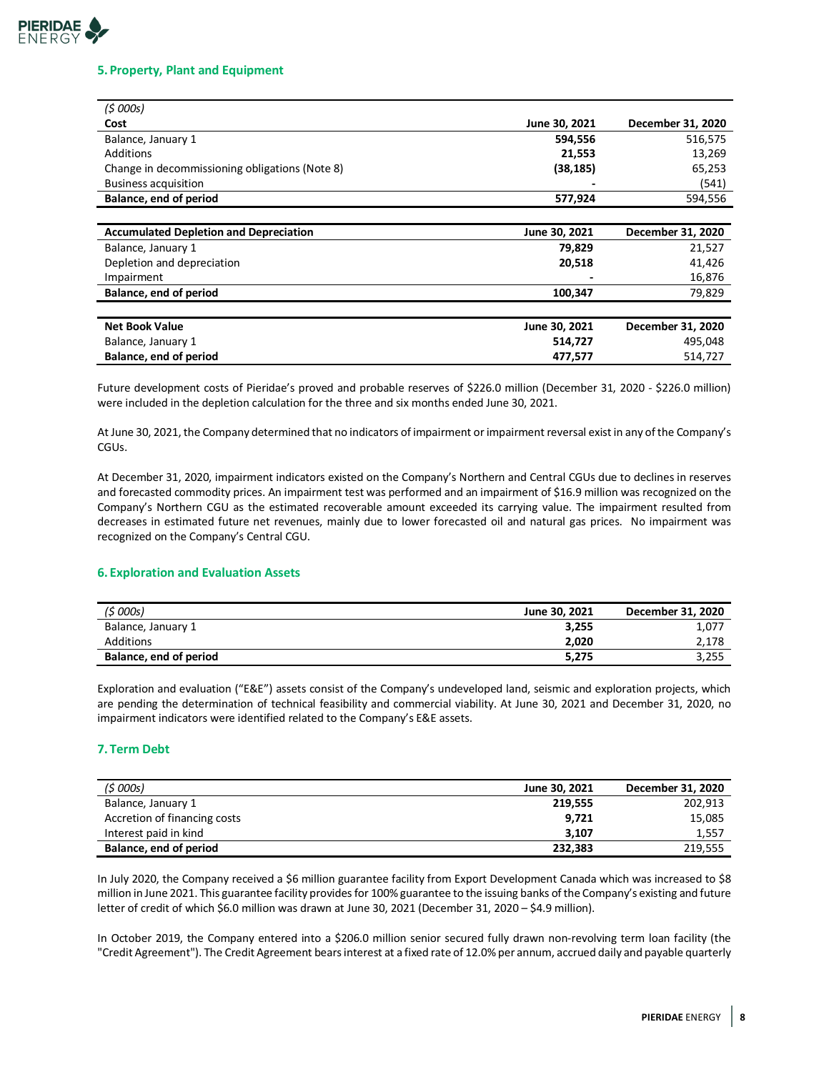## **PIERIDAE** ENFRGY

### **5. Property, Plant and Equipment**

| (5000s)                                        |               |                   |
|------------------------------------------------|---------------|-------------------|
| Cost                                           | June 30, 2021 | December 31, 2020 |
| Balance, January 1                             | 594,556       | 516,575           |
| Additions                                      | 21,553        | 13,269            |
| Change in decommissioning obligations (Note 8) | (38, 185)     | 65,253            |
| <b>Business acquisition</b>                    |               | (541)             |
| Balance, end of period                         | 577,924       | 594,556           |
|                                                |               |                   |
| <b>Accumulated Depletion and Depreciation</b>  | June 30, 2021 | December 31, 2020 |
| Balance, January 1                             | 79,829        | 21,527            |
| Depletion and depreciation                     | 20,518        | 41,426            |
| Impairment                                     |               | 16,876            |
| Balance, end of period                         | 100,347       | 79,829            |
|                                                |               |                   |
| <b>Net Book Value</b>                          | June 30, 2021 | December 31, 2020 |
| Balance, January 1                             | 514,727       | 495,048           |
| Balance, end of period                         | 477,577       | 514,727           |

Future development costs of Pieridae's proved and probable reserves of \$226.0 million (December 31, 2020 - \$226.0 million) were included in the depletion calculation for the three and six months ended June 30, 2021.

At June 30, 2021, the Company determined that no indicators of impairment or impairment reversal existin any of the Company's CGUs.

At December 31, 2020, impairment indicators existed on the Company's Northern and Central CGUs due to declines in reserves and forecasted commodity prices. An impairment test was performed and an impairment of \$16.9 million was recognized on the Company's Northern CGU as the estimated recoverable amount exceeded its carrying value. The impairment resulted from decreases in estimated future net revenues, mainly due to lower forecasted oil and natural gas prices. No impairment was recognized on the Company's Central CGU.

## **6. Exploration and Evaluation Assets**

| (\$ 000s)              | June 30, 2021 | December 31, 2020 |
|------------------------|---------------|-------------------|
| Balance, January 1     | 3.255         | 1,077             |
| Additions              | 2.020         | 2,178             |
| Balance, end of period | 5,275         | 3,255             |

Exploration and evaluation ("E&E") assets consist of the Company's undeveloped land, seismic and exploration projects, which are pending the determination of technical feasibility and commercial viability. At June 30, 2021 and December 31, 2020, no impairment indicators were identified related to the Company's E&E assets.

## **7. Term Debt**

| (5000s)                      | June 30, 2021 | December 31, 2020 |
|------------------------------|---------------|-------------------|
| Balance, January 1           | 219.555       | 202,913           |
| Accretion of financing costs | 9.721         | 15,085            |
| Interest paid in kind        | 3.107         | 1,557             |
| Balance, end of period       | 232.383       | 219,555           |

In July 2020, the Company received a \$6 million guarantee facility from Export Development Canada which was increased to \$8 million in June 2021. This guarantee facility provides for 100% guarantee to the issuing banks of the Company's existing and future letter of credit of which \$6.0 million was drawn at June 30, 2021 (December 31, 2020 - \$4.9 million).

In October 2019, the Company entered into a \$206.0 million senior secured fully drawn non-revolving term loan facility (the "Credit Agreement"). The Credit Agreement bears interest at a fixed rate of 12.0% per annum, accrued daily and payable quarterly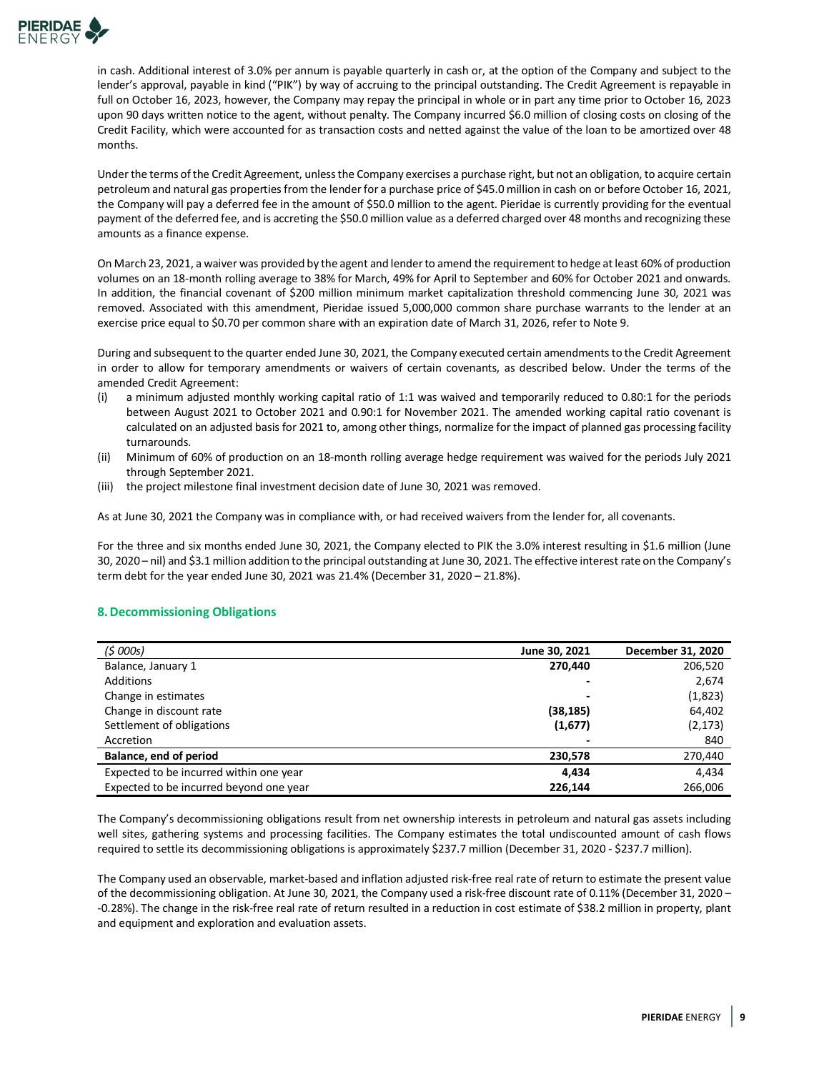

in cash. Additional interest of 3.0% per annum is payable quarterly in cash or, at the option of the Company and subject to the lender's approval, payable in kind ("PIK") by way of accruing to the principal outstanding. The Credit Agreement is repayable in full on October 16, 2023, however, the Company may repay the principal in whole or in part any time prior to October 16, 2023 upon 90 days written notice to the agent, without penalty. The Company incurred \$6.0 million of closing costs on closing of the Credit Facility, which were accounted for as transaction costs and netted against the value of the loan to be amortized over 48 months.

Under the terms of the Credit Agreement, unless the Company exercises a purchase right, but not an obligation, to acquire certain petroleum and natural gas properties from the lender for a purchase price of \$45.0 million in cash on or before October 16, 2021, the Company will pay a deferred fee in the amount of \$50.0 million to the agent. Pieridae is currently providing for the eventual payment of the deferred fee, and is accreting the \$50.0 million value as a deferred charged over 48 months and recognizing these amounts as a finance expense.

On March 23, 2021, a waiver was provided by the agent and lender to amend the requirement to hedge at least 60% of production volumes on an 18-month rolling average to 38% for March, 49% for April to September and 60% for October 2021 and onwards. In addition, the financial covenant of \$200 million minimum market capitalization threshold commencing June 30, 2021 was removed. Associated with this amendment, Pieridae issued 5,000,000 common share purchase warrants to the lender at an exercise price equal to \$0.70 per common share with an expiration date of March 31, 2026, refer to Note 9.

During and subsequent to the quarter ended June 30, 2021, the Company executed certain amendments to the Credit Agreement in order to allow for temporary amendments or waivers of certain covenants, as described below. Under the terms of the amended Credit Agreement:

- (i) a minimum adjusted monthly working capital ratio of 1:1 was waived and temporarily reduced to 0.80:1 for the periods between August 2021 to October 2021 and 0.90:1 for November 2021. The amended working capital ratio covenant is calculated on an adjusted basis for 2021 to, among other things, normalize for the impact of planned gas processing facility turnarounds.
- (ii) Minimum of 60% of production on an 18-month rolling average hedge requirement was waived for the periods July 2021 through September 2021.
- (iii) the project milestone final investment decision date of June 30, 2021 was removed.

As at June 30, 2021 the Company was in compliance with, or had received waivers from the lender for, all covenants.

For the three and six months ended June 30, 2021, the Company elected to PIK the 3.0% interest resulting in \$1.6 million (June 30, 2020 – nil) and \$3.1 million addition to the principal outstanding at June 30, 2021. The effective interest rate on the Company's term debt for the year ended June 30, 2021 was 21.4% (December 31, 2020 – 21.8%).

## **8.Decommissioning Obligations**

| (5000s)                                 | June 30, 2021 | December 31, 2020 |
|-----------------------------------------|---------------|-------------------|
| Balance, January 1                      | 270.440       | 206,520           |
| Additions                               |               | 2,674             |
| Change in estimates                     |               | (1,823)           |
| Change in discount rate                 | (38, 185)     | 64,402            |
| Settlement of obligations               | (1,677)       | (2, 173)          |
| Accretion                               |               | 840               |
| Balance, end of period                  | 230,578       | 270,440           |
| Expected to be incurred within one year | 4.434         | 4,434             |
| Expected to be incurred beyond one year | 226,144       | 266,006           |

The Company's decommissioning obligations result from net ownership interests in petroleum and natural gas assets including well sites, gathering systems and processing facilities. The Company estimates the total undiscounted amount of cash flows required to settle its decommissioning obligations is approximately \$237.7 million (December 31, 2020 - \$237.7 million).

The Company used an observable, market-based and inflation adjusted risk-free real rate of return to estimate the present value of the decommissioning obligation. At June 30, 2021, the Company used a risk-free discount rate of 0.11% (December 31, 2020 – -0.28%). The change in the risk-free real rate of return resulted in a reduction in cost estimate of \$38.2 million in property, plant and equipment and exploration and evaluation assets.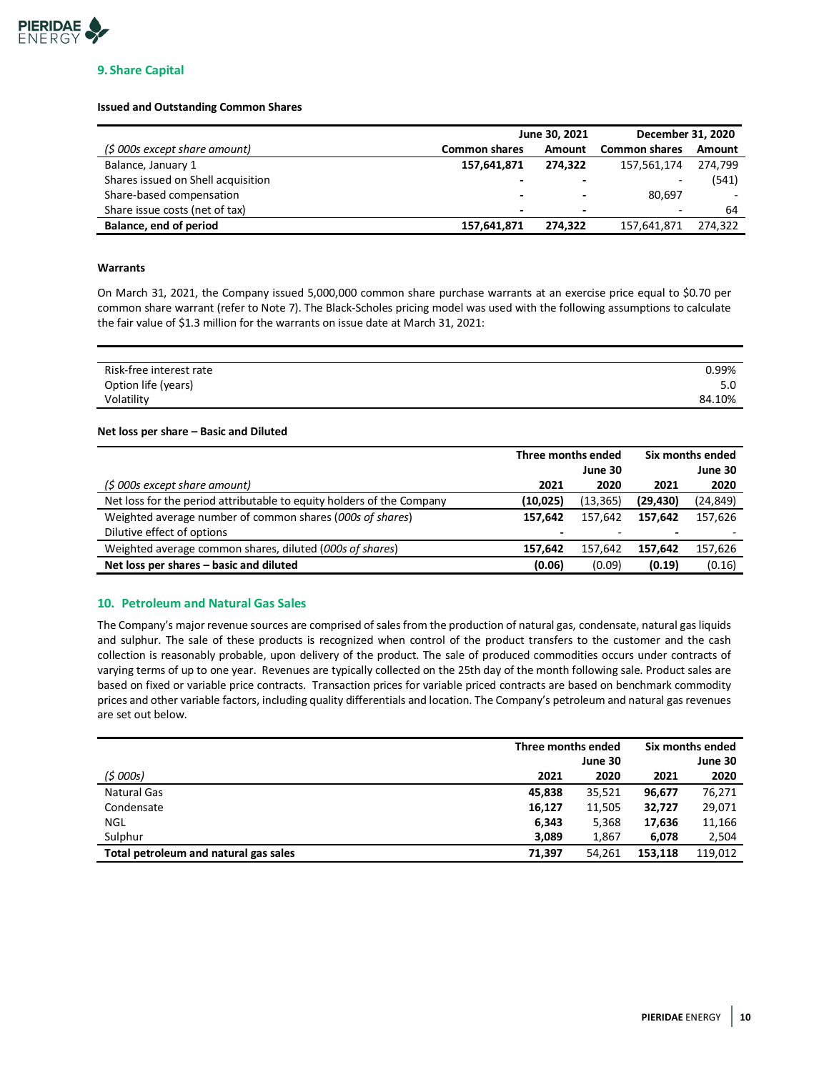

## **9. Share Capital**

#### **Issued and Outstanding Common Shares**

|                                    |                          | June 30, 2021            | December 31, 2020        |         |  |
|------------------------------------|--------------------------|--------------------------|--------------------------|---------|--|
| (\$ 000s except share amount)      | <b>Common shares</b>     | Amount                   | <b>Common shares</b>     | Amount  |  |
| Balance, January 1                 | 157,641,871              | 274.322                  | 157,561,174              | 274.799 |  |
| Shares issued on Shell acquisition | $\overline{\phantom{0}}$ |                          | $\overline{\phantom{0}}$ | (541)   |  |
| Share-based compensation           | $\overline{\phantom{0}}$ |                          | 80.697                   |         |  |
| Share issue costs (net of tax)     | $\overline{\phantom{0}}$ | $\overline{\phantom{0}}$ | $\overline{\phantom{0}}$ | 64      |  |
| Balance, end of period             | 157,641,871              | 274.322                  | 157,641,871              | 274,322 |  |

#### **Warrants**

On March 31, 2021, the Company issued 5,000,000 common share purchase warrants at an exercise price equal to \$0.70 per common share warrant (refer to Note 7). The Black-Scholes pricing model was used with the following assumptions to calculate the fair value of \$1.3 million for the warrants on issue date at March 31, 2021:

| Risk-free interest rate | 0.99%  |
|-------------------------|--------|
| Option life (years)     | 5.0    |
| Volatility              | 84.10% |

#### **Net loss per share – Basic and Diluted**

|                                                                       | Three months ended |           | Six months ended |           |
|-----------------------------------------------------------------------|--------------------|-----------|------------------|-----------|
|                                                                       |                    | June 30   |                  | June 30   |
| (\$ 000s except share amount)                                         | 2021               | 2020      | 2021             | 2020      |
| Net loss for the period attributable to equity holders of the Company | (10, 025)          | (13, 365) | (29, 430)        | (24, 849) |
| Weighted average number of common shares (000s of shares)             | 157.642            | 157.642   | 157.642          | 157,626   |
| Dilutive effect of options                                            | -                  |           |                  |           |
| Weighted average common shares, diluted (000s of shares)              | 157.642            | 157.642   | 157.642          | 157,626   |
| Net loss per shares – basic and diluted                               | (0.06)             | (0.09)    | (0.19)           | (0.16)    |

#### **10. Petroleum and Natural Gas Sales**

The Company's major revenue sources are comprised of sales from the production of natural gas, condensate, natural gas liquids and sulphur. The sale of these products is recognized when control of the product transfers to the customer and the cash collection is reasonably probable, upon delivery of the product. The sale of produced commodities occurs under contracts of varying terms of up to one year. Revenues are typically collected on the 25th day of the month following sale. Product sales are based on fixed or variable price contracts. Transaction prices for variable priced contracts are based on benchmark commodity prices and other variable factors, including quality differentials and location. The Company's petroleum and natural gas revenues are set out below.

|                                       | Three months ended |         | Six months ended |         |
|---------------------------------------|--------------------|---------|------------------|---------|
|                                       |                    | June 30 |                  | June 30 |
| (5000s)                               | 2021               | 2020    | 2021             | 2020    |
| <b>Natural Gas</b>                    | 45.838             | 35.521  | 96,677           | 76,271  |
| Condensate                            | 16,127             | 11,505  | 32,727           | 29,071  |
| NGL                                   | 6,343              | 5,368   | 17,636           | 11,166  |
| Sulphur                               | 3,089              | 1,867   | 6,078            | 2,504   |
| Total petroleum and natural gas sales | 71.397             | 54.261  | 153.118          | 119.012 |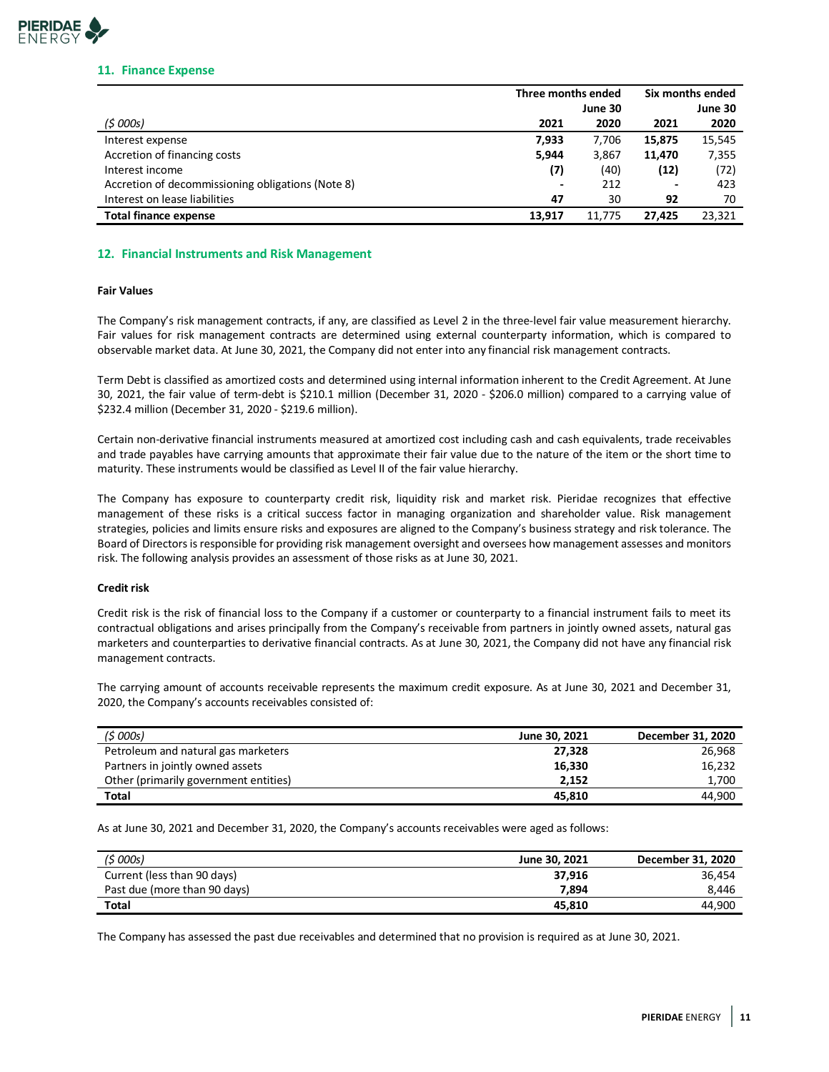

#### **11. Finance Expense**

|                                                   | Three months ended |         | Six months ended |         |
|---------------------------------------------------|--------------------|---------|------------------|---------|
|                                                   |                    | June 30 |                  | June 30 |
| (5000s)                                           | 2021               | 2020    | 2021             | 2020    |
| Interest expense                                  | 7.933              | 7.706   | 15,875           | 15,545  |
| Accretion of financing costs                      | 5,944              | 3,867   | 11.470           | 7,355   |
| Interest income                                   | (7)                | (40)    | (12)             | (72)    |
| Accretion of decommissioning obligations (Note 8) |                    | 212     |                  | 423     |
| Interest on lease liabilities                     | 47                 | 30      | 92               | 70      |
| <b>Total finance expense</b>                      | 13.917             | 11.775  | 27.425           | 23,321  |

### **12. Financial Instruments and Risk Management**

### **Fair Values**

The Company's risk management contracts, if any, are classified as Level 2 in the three-level fair value measurement hierarchy. Fair values for risk management contracts are determined using external counterparty information, which is compared to observable market data. At June 30, 2021, the Company did not enter into any financial risk management contracts.

Term Debt is classified as amortized costs and determined using internal information inherent to the Credit Agreement. At June 30, 2021, the fair value of term-debt is \$210.1 million (December 31, 2020 - \$206.0 million) compared to a carrying value of \$232.4 million (December 31, 2020 - \$219.6 million).

Certain non-derivative financial instruments measured at amortized cost including cash and cash equivalents, trade receivables and trade payables have carrying amounts that approximate their fair value due to the nature of the item or the short time to maturity. These instruments would be classified as Level II of the fair value hierarchy.

The Company has exposure to counterparty credit risk, liquidity risk and market risk. Pieridae recognizes that effective management of these risks is a critical success factor in managing organization and shareholder value. Risk management strategies, policies and limits ensure risks and exposures are aligned to the Company's business strategy and risk tolerance. The Board of Directors is responsible for providing risk management oversight and oversees how management assesses and monitors risk. The following analysis provides an assessment of those risks as at June 30, 2021.

### **Credit risk**

Credit risk is the risk of financial loss to the Company if a customer or counterparty to a financial instrument fails to meet its contractual obligations and arises principally from the Company's receivable from partners in jointly owned assets, natural gas marketers and counterparties to derivative financial contracts. As at June 30, 2021, the Company did not have any financial risk management contracts.

The carrying amount of accounts receivable represents the maximum credit exposure. As at June 30, 2021 and December 31, 2020, the Company's accounts receivables consisted of:

| (\$ 000s)                             | June 30, 2021 | December 31, 2020 |
|---------------------------------------|---------------|-------------------|
| Petroleum and natural gas marketers   | 27.328        | 26.968            |
| Partners in jointly owned assets      | 16.330        | 16,232            |
| Other (primarily government entities) | 2.152         | 1,700             |
| Total                                 | 45.810        | 44.900            |

As at June 30, 2021 and December 31, 2020, the Company's accounts receivables were aged as follows:

| (\$ 000s)                    | June 30, 2021 | December 31, 2020 |
|------------------------------|---------------|-------------------|
| Current (less than 90 days)  | 37.916        | 36.454            |
| Past due (more than 90 days) | 7.894         | 8.446             |
| <b>Total</b>                 | 45.810        | 44.900            |

The Company has assessed the past due receivables and determined that no provision is required as at June 30, 2021.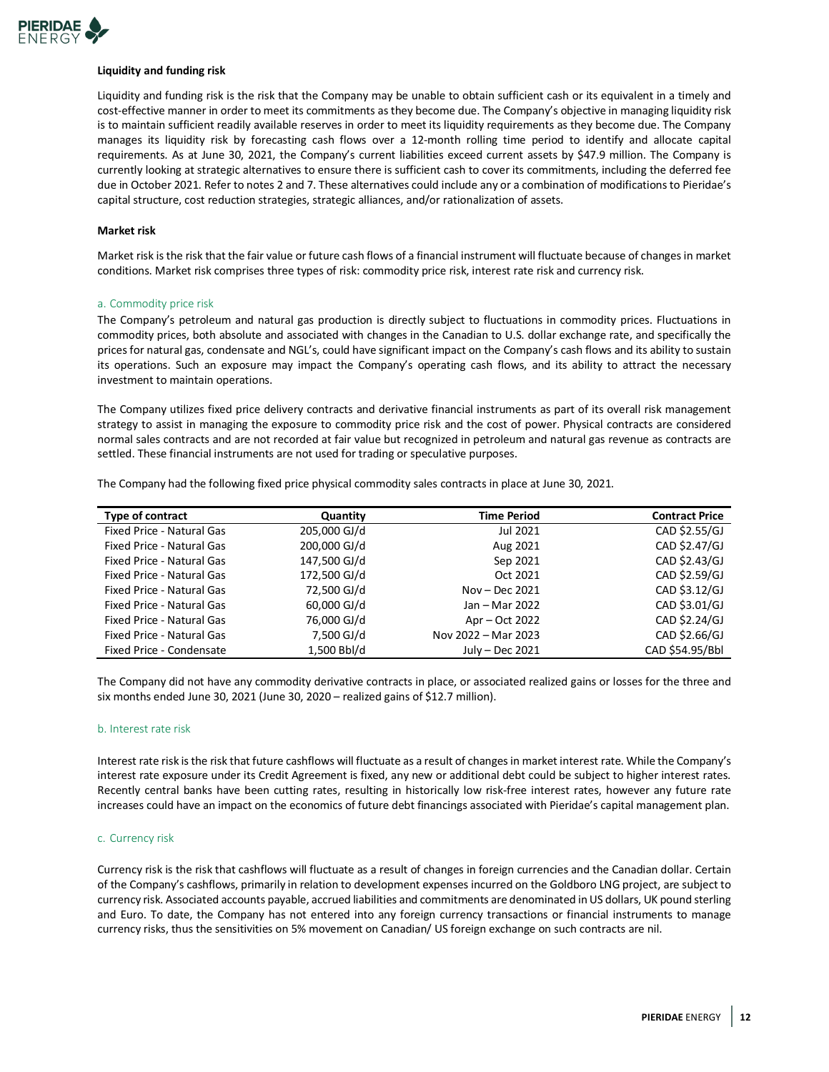

#### **Liquidity and funding risk**

Liquidity and funding risk is the risk that the Company may be unable to obtain sufficient cash or its equivalent in a timely and cost-effective manner in order to meet its commitments as they become due. The Company's objective in managing liquidity risk is to maintain sufficient readily available reserves in order to meet its liquidity requirements as they become due. The Company manages its liquidity risk by forecasting cash flows over a 12-month rolling time period to identify and allocate capital requirements. As at June 30, 2021, the Company's current liabilities exceed current assets by \$47.9 million. The Company is currently looking at strategic alternatives to ensure there is sufficient cash to cover its commitments, including the deferred fee due in October 2021. Refer to notes 2 and 7. These alternatives could include any or a combination of modifications to Pieridae's capital structure, cost reduction strategies, strategic alliances, and/or rationalization of assets.

#### **Market risk**

Market risk is the risk that the fair value or future cash flows of a financial instrument will fluctuate because of changes in market conditions. Market risk comprises three types of risk: commodity price risk, interest rate risk and currency risk.

#### a. Commodity price risk

The Company's petroleum and natural gas production is directly subject to fluctuations in commodity prices. Fluctuations in commodity prices, both absolute and associated with changes in the Canadian to U.S. dollar exchange rate, and specifically the prices for natural gas, condensate and NGL's, could have significant impact on the Company's cash flows and its ability to sustain its operations. Such an exposure may impact the Company's operating cash flows, and its ability to attract the necessary investment to maintain operations.

The Company utilizes fixed price delivery contracts and derivative financial instruments as part of its overall risk management strategy to assist in managing the exposure to commodity price risk and the cost of power. Physical contracts are considered normal sales contracts and are not recorded at fair value but recognized in petroleum and natural gas revenue as contracts are settled. These financial instruments are not used for trading or speculative purposes.

The Company had the following fixed price physical commodity sales contracts in place at June 30, 2021.

| <b>Type of contract</b>   | Quantity     | <b>Time Period</b>  | <b>Contract Price</b> |
|---------------------------|--------------|---------------------|-----------------------|
| Fixed Price - Natural Gas | 205,000 GJ/d | Jul 2021            | CAD \$2.55/GJ         |
| Fixed Price - Natural Gas | 200,000 GJ/d | Aug 2021            | CAD \$2.47/GJ         |
| Fixed Price - Natural Gas | 147,500 GJ/d | Sep 2021            | CAD \$2.43/GJ         |
| Fixed Price - Natural Gas | 172.500 GJ/d | Oct 2021            | CAD \$2.59/GJ         |
| Fixed Price - Natural Gas | 72,500 GJ/d  | Nov – Dec $2021$    | CAD \$3.12/GJ         |
| Fixed Price - Natural Gas | 60,000 GJ/d  | Jan - Mar 2022      | CAD \$3.01/GJ         |
| Fixed Price - Natural Gas | 76,000 GJ/d  | Apr – Oct 2022      | CAD \$2.24/GJ         |
| Fixed Price - Natural Gas | 7,500 GJ/d   | Nov 2022 - Mar 2023 | CAD \$2.66/GJ         |
| Fixed Price - Condensate  | 1,500 Bbl/d  | July - Dec 2021     | CAD \$54.95/Bbl       |

The Company did not have any commodity derivative contracts in place, or associated realized gains or losses for the three and six months ended June 30, 2021 (June 30, 2020 – realized gains of \$12.7 million).

#### b. Interest rate risk

Interest rate risk is the risk that future cashflows will fluctuate as a result of changes in market interest rate. While the Company's interest rate exposure under its Credit Agreement is fixed, any new or additional debt could be subject to higher interest rates. Recently central banks have been cutting rates, resulting in historically low risk-free interest rates, however any future rate increases could have an impact on the economics of future debt financings associated with Pieridae's capital management plan.

#### c. Currency risk

Currency risk is the risk that cashflows will fluctuate as a result of changes in foreign currencies and the Canadian dollar. Certain of the Company's cashflows, primarily in relation to development expenses incurred on the Goldboro LNG project, are subject to currency risk. Associated accounts payable, accrued liabilities and commitments are denominated in US dollars, UK pound sterling and Euro. To date, the Company has not entered into any foreign currency transactions or financial instruments to manage currency risks, thus the sensitivities on 5% movement on Canadian/ US foreign exchange on such contracts are nil.